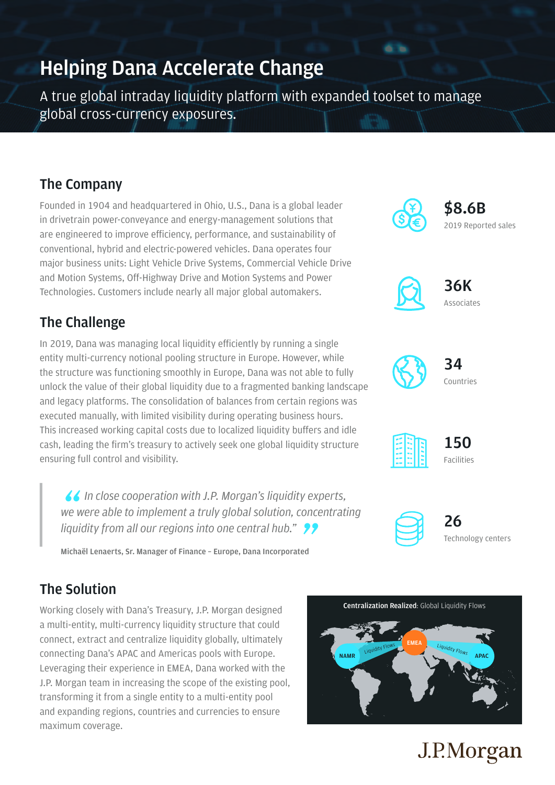## **Helping Dana Accelerate Change**

A true global intraday liquidity platform with expanded toolset to manage global cross-currency exposures.

### **The Company**

Founded in 1904 and headquartered in Ohio, U.S., Dana is a global leader in drivetrain power-conveyance and energy-management solutions that are engineered to improve efficiency, performance, and sustainability of conventional, hybrid and electric-powered vehicles. Dana operates four major business units: Light Vehicle Drive Systems, Commercial Vehicle Drive and Motion Systems, Off-Highway Drive and Motion Systems and Power Technologies. Customers include nearly all major global automakers.

### **The Challenge**

In 2019, Dana was managing local liquidity efficiently by running a single entity multi-currency notional pooling structure in Europe. However, while the structure was functioning smoothly in Europe, Dana was not able to fully unlock the value of their global liquidity due to a fragmented banking landscape and legacy platforms. The consolidation of balances from certain regions was executed manually, with limited visibility during operating business hours. This increased working capital costs due to localized liquidity buffers and idle cash, leading the firm's treasury to actively seek one global liquidity structure ensuring full control and visibility.

*I* In close cooperation with J.P. Morgan's liquidity experts, we were able to implement a truly global solution, concentrational induity from all our regions into one central hub." *we were able to implement a truly global solution, concentrating liquidity from all our regions into one central hub."*<br>Michaël Lenaerts, Sr. Manager of Finance - Europe, Dana Incorporated

**Michaël Lenaerts, Sr. Manager of Finance – Europe, Dana Incorporated**

## **The Solution**

Working closely with Dana's Treasury, J.P. Morgan designed a multi-entity, multi-currency liquidity structure that could connect, extract and centralize liquidity globally, ultimately connecting Dana's APAC and Americas pools with Europe. Leveraging their experience in EMEA, Dana worked with the J.P. Morgan team in increasing the scope of the existing pool, transforming it from a single entity to a multi-entity pool and expanding regions, countries and currencies to ensure maximum coverage.





**26** Technology centers



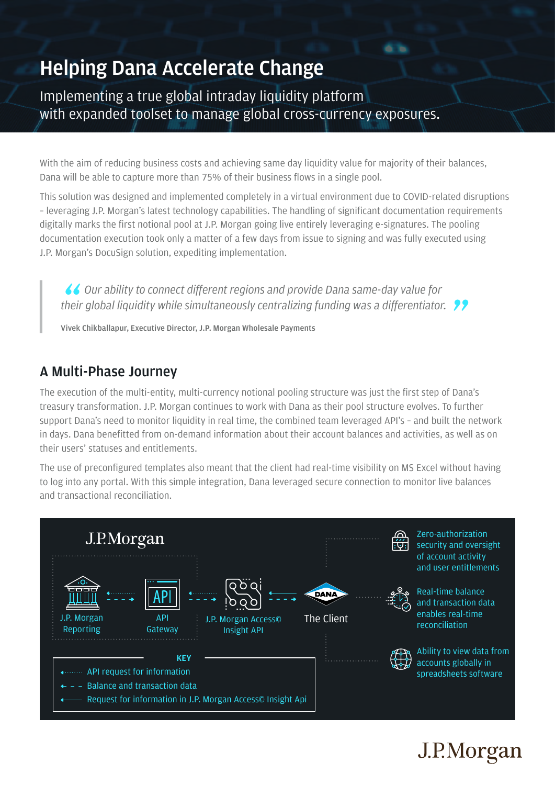# **Helping Dana Accelerate Change**

Implementing a true global intraday liquidity platform with expanded toolset to manage global cross-currency exposures.

With the aim of reducing business costs and achieving same day liquidity value for majority of their balances, Dana will be able to capture more than 75% of their business flows in a single pool.

This solution was designed and implemented completely in a virtual environment due to COVID-related disruptions – leveraging J.P. Morgan's latest technology capabilities. The handling of significant documentation requirements digitally marks the first notional pool at J.P. Morgan going live entirely leveraging e-signatures. The pooling documentation execution took only a matter of a few days from issue to signing and was fully executed using J.P. Morgan's DocuSign solution, expediting implementation.

■ **4 Courability to connect different regions and provide Dana same-day value for** their global liquidity while simultaneously centralizing funding was a differentiator. <br>Vivek Chikballapur, Executive Director, J.P. Morgan Wholesale Payments

**Vivek Chikballapur, Executive Director, J.P. Morgan Wholesale Payments**

#### **A Multi-Phase Journey**

The execution of the multi-entity, multi-currency notional pooling structure was just the first step of Dana's treasury transformation. J.P. Morgan continues to work with Dana as their pool structure evolves. To further support Dana's need to monitor liquidity in real time, the combined team leveraged API's – and built the network in days. Dana benefitted from on-demand information about their account balances and activities, as well as on their users' statuses and entitlements.

The use of preconfigured templates also meant that the client had real-time visibility on MS Excel without having to log into any portal. With this simple integration, Dana leveraged secure connection to monitor live balances and transactional reconciliation.



# J.P.Morgan